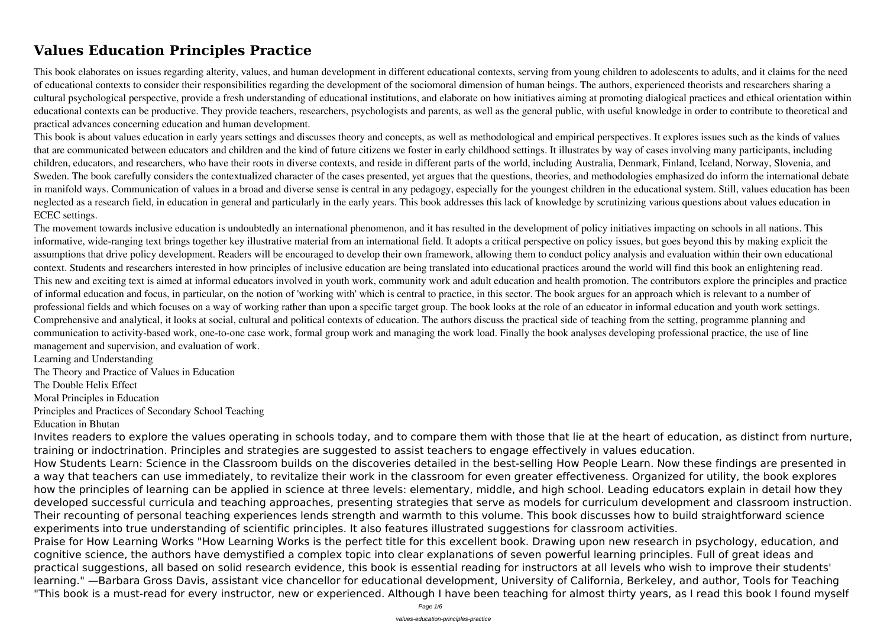# **Values Education Principles Practice**

This book elaborates on issues regarding alterity, values, and human development in different educational contexts, serving from young children to adolescents to adults, and it claims for the need of educational contexts to consider their responsibilities regarding the development of the sociomoral dimension of human beings. The authors, experienced theorists and researchers sharing a cultural psychological perspective, provide a fresh understanding of educational institutions, and elaborate on how initiatives aiming at promoting dialogical practices and ethical orientation within educational contexts can be productive. They provide teachers, researchers, psychologists and parents, as well as the general public, with useful knowledge in order to contribute to theoretical and practical advances concerning education and human development.

This book is about values education in early years settings and discusses theory and concepts, as well as methodological and empirical perspectives. It explores issues such as the kinds of values that are communicated between educators and children and the kind of future citizens we foster in early childhood settings. It illustrates by way of cases involving many participants, including children, educators, and researchers, who have their roots in diverse contexts, and reside in different parts of the world, including Australia, Denmark, Finland, Iceland, Norway, Slovenia, and Sweden. The book carefully considers the contextualized character of the cases presented, yet argues that the questions, theories, and methodologies emphasized do inform the international debate in manifold ways. Communication of values in a broad and diverse sense is central in any pedagogy, especially for the youngest children in the educational system. Still, values education has been neglected as a research field, in education in general and particularly in the early years. This book addresses this lack of knowledge by scrutinizing various questions about values education in ECEC settings.

The movement towards inclusive education is undoubtedly an international phenomenon, and it has resulted in the development of policy initiatives impacting on schools in all nations. This informative, wide-ranging text brings together key illustrative material from an international field. It adopts a critical perspective on policy issues, but goes beyond this by making explicit the assumptions that drive policy development. Readers will be encouraged to develop their own framework, allowing them to conduct policy analysis and evaluation within their own educational context. Students and researchers interested in how principles of inclusive education are being translated into educational practices around the world will find this book an enlightening read. This new and exciting text is aimed at informal educators involved in youth work, community work and adult education and health promotion. The contributors explore the principles and practice of informal education and focus, in particular, on the notion of 'working with' which is central to practice, in this sector. The book argues for an approach which is relevant to a number of professional fields and which focuses on a way of working rather than upon a specific target group. The book looks at the role of an educator in informal education and youth work settings. Comprehensive and analytical, it looks at social, cultural and political contexts of education. The authors discuss the practical side of teaching from the setting, programme planning and communication to activity-based work, one-to-one case work, formal group work and managing the work load. Finally the book analyses developing professional practice, the use of line management and supervision, and evaluation of work.

Learning and Understanding

The Theory and Practice of Values in Education

The Double Helix Effect

Moral Principles in Education

Principles and Practices of Secondary School Teaching

Education in Bhutan

Invites readers to explore the values operating in schools today, and to compare them with those that lie at the heart of education, as distinct from nurture, training or indoctrination. Principles and strategies are suggested to assist teachers to engage effectively in values education. How Students Learn: Science in the Classroom builds on the discoveries detailed in the best-selling How People Learn. Now these findings are presented in a way that teachers can use immediately, to revitalize their work in the classroom for even greater effectiveness. Organized for utility, the book explores how the principles of learning can be applied in science at three levels: elementary, middle, and high school. Leading educators explain in detail how they developed successful curricula and teaching approaches, presenting strategies that serve as models for curriculum development and classroom instruction. Their recounting of personal teaching experiences lends strength and warmth to this volume. This book discusses how to build straightforward science experiments into true understanding of scientific principles. It also features illustrated suggestions for classroom activities. Praise for How Learning Works "How Learning Works is the perfect title for this excellent book. Drawing upon new research in psychology, education, and cognitive science, the authors have demystified a complex topic into clear explanations of seven powerful learning principles. Full of great ideas and practical suggestions, all based on solid research evidence, this book is essential reading for instructors at all levels who wish to improve their students' learning." —Barbara Gross Davis, assistant vice chancellor for educational development, University of California, Berkeley, and author, Tools for Teaching "This book is a must-read for every instructor, new or experienced. Although I have been teaching for almost thirty years, as I read this book I found myself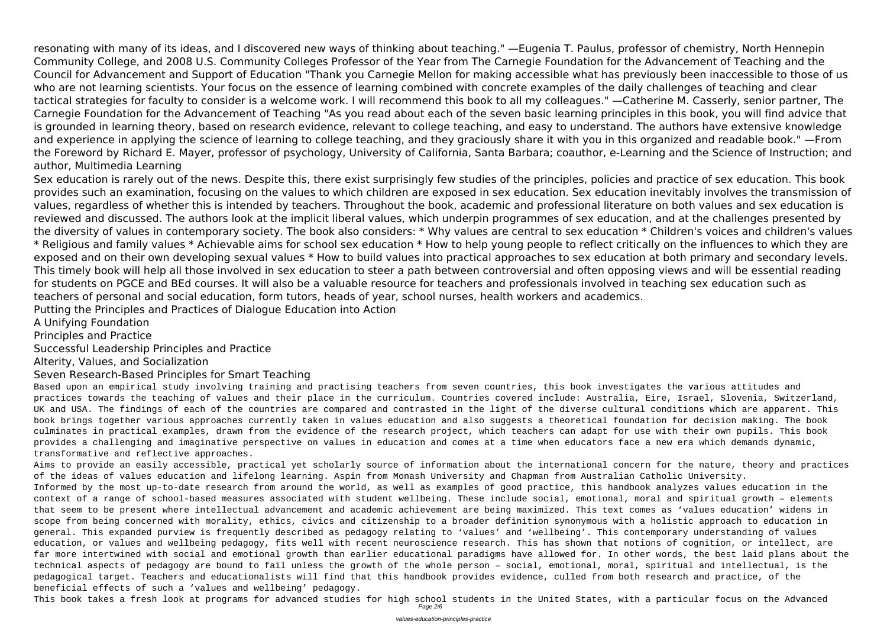resonating with many of its ideas, and I discovered new ways of thinking about teaching." —Eugenia T. Paulus, professor of chemistry, North Hennepin Community College, and 2008 U.S. Community Colleges Professor of the Year from The Carnegie Foundation for the Advancement of Teaching and the Council for Advancement and Support of Education "Thank you Carnegie Mellon for making accessible what has previously been inaccessible to those of us who are not learning scientists. Your focus on the essence of learning combined with concrete examples of the daily challenges of teaching and clear tactical strategies for faculty to consider is a welcome work. I will recommend this book to all my colleagues." —Catherine M. Casserly, senior partner, The Carnegie Foundation for the Advancement of Teaching "As you read about each of the seven basic learning principles in this book, you will find advice that is grounded in learning theory, based on research evidence, relevant to college teaching, and easy to understand. The authors have extensive knowledge and experience in applying the science of learning to college teaching, and they graciously share it with you in this organized and readable book." —From the Foreword by Richard E. Mayer, professor of psychology, University of California, Santa Barbara; coauthor, e-Learning and the Science of Instruction; and author, Multimedia Learning

Sex education is rarely out of the news. Despite this, there exist surprisingly few studies of the principles, policies and practice of sex education. This book provides such an examination, focusing on the values to which children are exposed in sex education. Sex education inevitably involves the transmission of values, regardless of whether this is intended by teachers. Throughout the book, academic and professional literature on both values and sex education is reviewed and discussed. The authors look at the implicit liberal values, which underpin programmes of sex education, and at the challenges presented by the diversity of values in contemporary society. The book also considers: \* Why values are central to sex education \* Children's voices and children's values \* Religious and family values \* Achievable aims for school sex education \* How to help young people to reflect critically on the influences to which they are exposed and on their own developing sexual values \* How to build values into practical approaches to sex education at both primary and secondary levels. This timely book will help all those involved in sex education to steer a path between controversial and often opposing views and will be essential reading for students on PGCE and BEd courses. It will also be a valuable resource for teachers and professionals involved in teaching sex education such as teachers of personal and social education, form tutors, heads of year, school nurses, health workers and academics. Putting the Principles and Practices of Dialogue Education into Action

A Unifying Foundation Principles and Practice

Successful Leadership Principles and Practice

Alterity, Values, and Socialization

## Seven Research-Based Principles for Smart Teaching

Based upon an empirical study involving training and practising teachers from seven countries, this book investigates the various attitudes and practices towards the teaching of values and their place in the curriculum. Countries covered include: Australia, Eire, Israel, Slovenia, Switzerland, UK and USA. The findings of each of the countries are compared and contrasted in the light of the diverse cultural conditions which are apparent. This book brings together various approaches currently taken in values education and also suggests a theoretical foundation for decision making. The book culminates in practical examples, drawn from the evidence of the research project, which teachers can adapt for use with their own pupils. This book provides a challenging and imaginative perspective on values in education and comes at a time when educators face a new era which demands dynamic, transformative and reflective approaches.

Aims to provide an easily accessible, practical yet scholarly source of information about the international concern for the nature, theory and practices of the ideas of values education and lifelong learning. Aspin from Monash University and Chapman from Australian Catholic University. Informed by the most up-to-date research from around the world, as well as examples of good practice, this handbook analyzes values education in the context of a range of school-based measures associated with student wellbeing. These include social, emotional, moral and spiritual growth – elements that seem to be present where intellectual advancement and academic achievement are being maximized. This text comes as 'values education' widens in scope from being concerned with morality, ethics, civics and citizenship to a broader definition synonymous with a holistic approach to education in general. This expanded purview is frequently described as pedagogy relating to 'values' and 'wellbeing'. This contemporary understanding of values education, or values and wellbeing pedagogy, fits well with recent neuroscience research. This has shown that notions of cognition, or intellect, are far more intertwined with social and emotional growth than earlier educational paradigms have allowed for. In other words, the best laid plans about the technical aspects of pedagogy are bound to fail unless the growth of the whole person – social, emotional, moral, spiritual and intellectual, is the pedagogical target. Teachers and educationalists will find that this handbook provides evidence, culled from both research and practice, of the beneficial effects of such a 'values and wellbeing' pedagogy.

This book takes a fresh look at programs for advanced studies for high school students in the United States, with a particular focus on the Advanced Page 2/6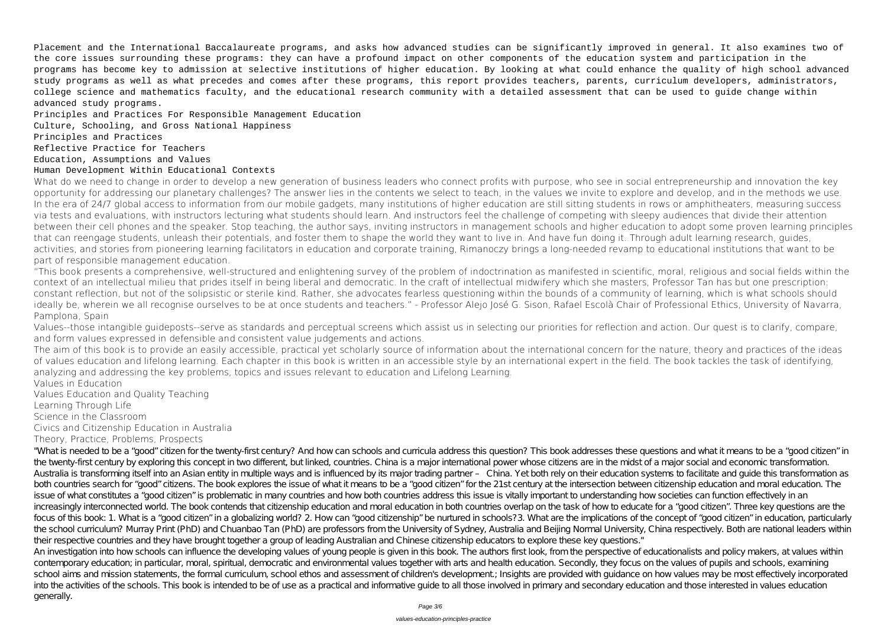Placement and the International Baccalaureate programs, and asks how advanced studies can be significantly improved in general. It also examines two of the core issues surrounding these programs: they can have a profound impact on other components of the education system and participation in the programs has become key to admission at selective institutions of higher education. By looking at what could enhance the quality of high school advanced study programs as well as what precedes and comes after these programs, this report provides teachers, parents, curriculum developers, administrators, college science and mathematics faculty, and the educational research community with a detailed assessment that can be used to guide change within advanced study programs.

Principles and Practices For Responsible Management Education

Culture, Schooling, and Gross National Happiness

Principles and Practices

Reflective Practice for Teachers

Education, Assumptions and Values

### Human Development Within Educational Contexts

What do we need to change in order to develop a new generation of business leaders who connect profits with purpose, who see in social entrepreneurship and innovation the key opportunity for addressing our planetary challenges? The answer lies in the contents we select to teach, in the values we invite to explore and develop, and in the methods we use. In the era of 24/7 global access to information from our mobile gadgets, many institutions of higher education are still sitting students in rows or amphitheaters, measuring success via tests and evaluations, with instructors lecturing what students should learn. And instructors feel the challenge of competing with sleepy audiences that divide their attention between their cell phones and the speaker. Stop teaching, the author says, inviting instructors in management schools and higher education to adopt some proven learning principles that can reengage students, unleash their potentials, and foster them to shape the world they want to live in. And have fun doing it. Through adult learning research, guides, activities, and stories from pioneering learning facilitators in education and corporate training, Rimanoczy brings a long-needed revamp to educational institutions that want to be part of responsible management education.

"This book presents a comprehensive, well-structured and enlightening survey of the problem of indoctrination as manifested in scientific, moral, religious and social fields within the context of an intellectual milieu that prides itself in being liberal and democratic. In the craft of intellectual midwifery which she masters, Professor Tan has but one prescription: constant reflection, but not of the solipsistic or sterile kind. Rather, she advocates fearless questioning within the bounds of a community of learning, which is what schools should ideally be, wherein we all recognise ourselves to be at once students and teachers." - Professor Alejo José G. Sison, Rafael Escolà Chair of Professional Ethics, University of Navarra, Pamplona, Spain

Values--those intangible guideposts--serve as standards and perceptual screens which assist us in selecting our priorities for reflection and action. Our quest is to clarify, compare, and form values expressed in defensible and consistent value judgements and actions.

"What is needed to be a "good" citizen for the twenty-first century? And how can schools and curricula address this question? This book addresses these questions and what it means to be a "good citizen" in the twenty-first century by exploring this concept in two different, but linked, countries. China is a major international power whose citizens are in the midst of a major social and economic transformation. Australia is transforming itself into an Asian entity in multiple ways and is influenced by its major trading partner – China. Yet both rely on their education systems to facilitate and quide this transformation as both countries search for "good" citizens. The book explores the issue of what it means to be a "good citizen" for the 21st century at the intersection between citizenship education and moral education. The issue of what constitutes a "good citizen" is problematic in many countries and how both countries address this issue is vitally important to understanding how societies can function effectively in an increasingly interconnected world. The book contends that citizenship education and moral education in both countries overlap on the task of how to educate for a "good citizen". Three key questions are the focus of this book: 1. What is a "good citizen" in a globalizing world? 2. How can "good citizenship" be nurtured in schools?3. What are the implications of the concept of "good citizen" in education, particularly the school curriculum? Murray Print (PhD) and Chuanbao Tan (PhD) are professors from the University of Sydney, Australia and Beijing Normal University, China respectively. Both are national leaders within their respective countries and they have brought together a group of leading Australian and Chinese citizenship educators to explore these key questions." An investigation into how schools can influence the developing values of young people is given in this book. The authors first look, from the perspective of educationalists and policy makers, at values within contemporary education; in particular, moral, spiritual, democratic and environmental values together with arts and health education. Secondly, they focus on the values of pupils and schools, examining school aims and mission statements, the formal curriculum, school ethos and assessment of children's development; Insights are provided with quidance on how values may be most effectively incorporated into the activities of the schools. This book is intended to be of use as a practical and informative guide to all those involved in primary and secondary education and those interested in values education generally.

The aim of this book is to provide an easily accessible, practical yet scholarly source of information about the international concern for the nature, theory and practices of the ideas of values education and lifelong learning. Each chapter in this book is written in an accessible style by an international expert in the field. The book tackles the task of identifying, analyzing and addressing the key problems, topics and issues relevant to education and Lifelong Learning.

Values in Education

Values Education and Quality Teaching

Learning Through Life

Science in the Classroom

Civics and Citizenship Education in Australia

Theory, Practice, Problems, Prospects

#### values-education-principles-practice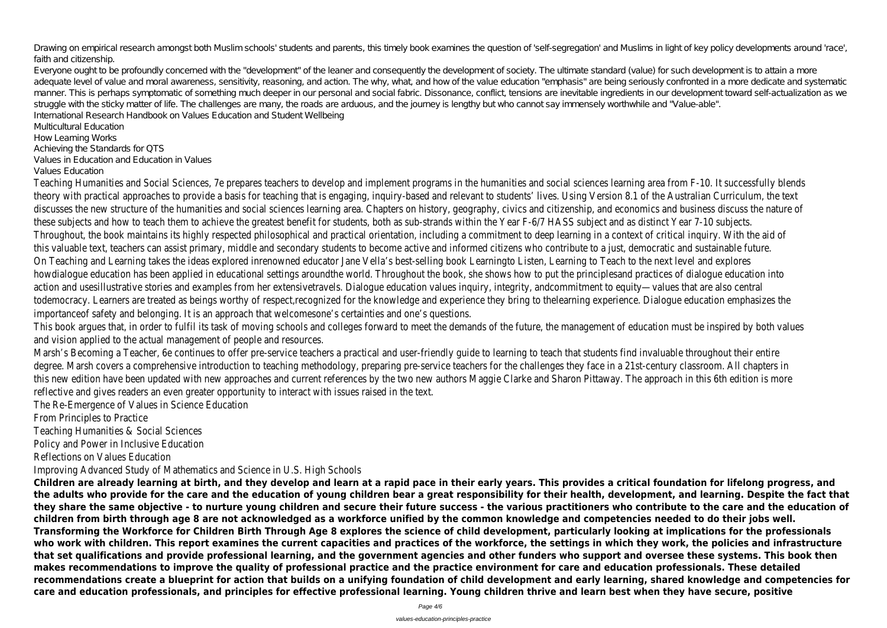Drawing on empirical research amongst both Muslim schools' students and parents, this timely book examines the question of 'self-segregation' and Muslims in light of key policy developments around 'race', faith and citizenship.

Everyone ought to be profoundly concerned with the "development" of the leaner and consequently the development of society. The ultimate standard (value) for such development is to attain a more adequate level of value and moral awareness, sensitivity, reasoning, and action. The why, what, and how of the value education "emphasis" are being seriously confronted in a more dedicate and systematic manner. This is perhaps symptomatic of something much deeper in our personal and social fabric. Dissonance, conflict, tensions are inevitable ingredients in our development toward self-actualization as we struggle with the sticky matter of life. The challenges are many, the roads are arduous, and the journey is lengthy but who cannot say immensely worthwhile and "Value-able". International Research Handbook on Values Education and Student Wellbeing

Multicultural Education How Learning Works Achieving the Standards for QTS Values in Education and Education in Values Values Education

Teaching Humanities and Social Sciences, 7e prepares teachers to develop and implement programs in the humanities and social sciences learning area from F-10. It successfully blends theory with practical approaches to provide a basis for teaching that is engaging, inquiry-based and relevant to students' lives. Using Version 8.1 of the Australian Curriculum, the text discusses the new structure of the humanities and social sciences learning area. Chapters on history, geography, civics and citizenship, and economics and business discuss the nature of these subjects and how to teach them to achieve the greatest benefit for students, both as sub-strands within the Year F-6/7 HASS subject and as distinct Year 7-10 subjects. Throughout, the book maintains its highly respected philosophical and practical orientation, including a commitment to deep learning in a context of critical inquiry. With the aid of this valuable text, teachers can assist primary, middle and secondary students to become active and informed citizens who contribute to a just, democratic and sustainable future. On Teaching and Learning takes the ideas explored inrenowned educator Jane Vella's best-selling book Learningto Listen, Learning to Teach to the next level and explores howdialogue education has been applied in educational settings aroundthe world. Throughout the book, she shows how to put the principlesand practices of dialogue education into action and usesillustrative stories and examples from her extensivetravels. Dialogue education values inquiry, integrity, andcommitment to equity—values that are also central todemocracy. Learners are treated as beings worthy of respect,recognized for the knowledge and experience they bring to thelearning experience. Dialogue education emphasizes the importanceof safety and belonging. It is an approach that welcomesone's certainties and one's questions.

This book argues that, in order to fulfil its task of moving schools and colleges forward to meet the demands of the future, the management of education must be inspired by both values and vision applied to the actual management of people and resources.

Marsh's Becoming a Teacher, 6e continues to offer pre-service teachers a practical and user-friendly guide to learning to teach that students find invaluable throughout their entire degree. Marsh covers a comprehensive introduction to teaching methodology, preparing pre-service teachers for the challenges they face in a 21st-century classroom. All chapters in this new edition have been updated with new approaches and current references by the two new authors Maggie Clarke and Sharon Pittaway. The approach in this 6th edition is more reflective and gives readers an even greater opportunity to interact with issues raised in the text.

The Re-Emergence of Values in Science Education

From Principles to Practice

Teaching Humanities & Social Sciences

Policy and Power in Inclusive Education

Reflections on Values Education

Improving Advanced Study of Mathematics and Science in U.S. High Schools

**Children are already learning at birth, and they develop and learn at a rapid pace in their early years. This provides a critical foundation for lifelong progress, and the adults who provide for the care and the education of young children bear a great responsibility for their health, development, and learning. Despite the fact that they share the same objective - to nurture young children and secure their future success - the various practitioners who contribute to the care and the education of children from birth through age 8 are not acknowledged as a workforce unified by the common knowledge and competencies needed to do their jobs well. Transforming the Workforce for Children Birth Through Age 8 explores the science of child development, particularly looking at implications for the professionals who work with children. This report examines the current capacities and practices of the workforce, the settings in which they work, the policies and infrastructure that set qualifications and provide professional learning, and the government agencies and other funders who support and oversee these systems. This book then makes recommendations to improve the quality of professional practice and the practice environment for care and education professionals. These detailed recommendations create a blueprint for action that builds on a unifying foundation of child development and early learning, shared knowledge and competencies for care and education professionals, and principles for effective professional learning. Young children thrive and learn best when they have secure, positive**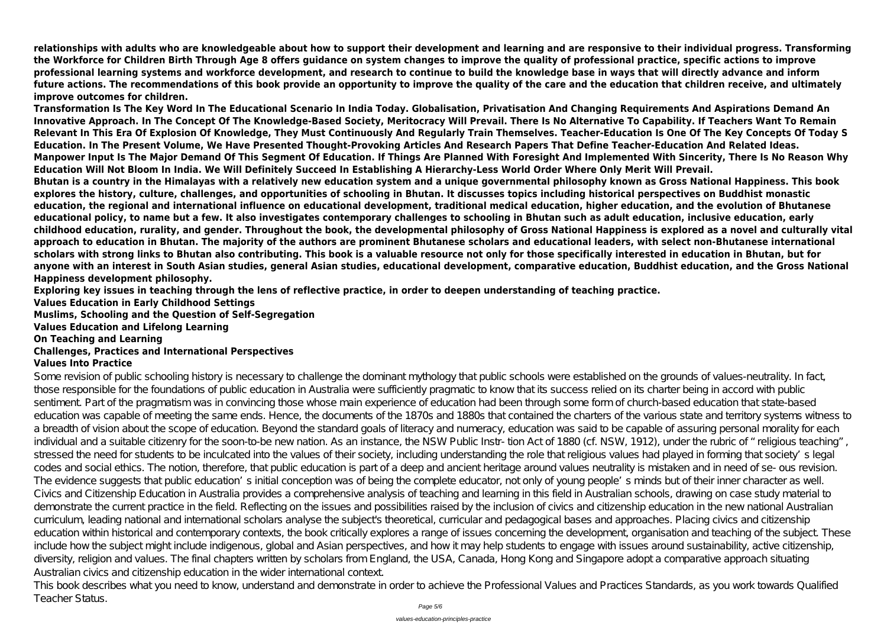**relationships with adults who are knowledgeable about how to support their development and learning and are responsive to their individual progress. Transforming the Workforce for Children Birth Through Age 8 offers guidance on system changes to improve the quality of professional practice, specific actions to improve professional learning systems and workforce development, and research to continue to build the knowledge base in ways that will directly advance and inform future actions. The recommendations of this book provide an opportunity to improve the quality of the care and the education that children receive, and ultimately improve outcomes for children.**

**Transformation Is The Key Word In The Educational Scenario In India Today. Globalisation, Privatisation And Changing Requirements And Aspirations Demand An Innovative Approach. In The Concept Of The Knowledge-Based Society, Meritocracy Will Prevail. There Is No Alternative To Capability. If Teachers Want To Remain Relevant In This Era Of Explosion Of Knowledge, They Must Continuously And Regularly Train Themselves. Teacher-Education Is One Of The Key Concepts Of Today S Education. In The Present Volume, We Have Presented Thought-Provoking Articles And Research Papers That Define Teacher-Education And Related Ideas. Manpower Input Is The Major Demand Of This Segment Of Education. If Things Are Planned With Foresight And Implemented With Sincerity, There Is No Reason Why Education Will Not Bloom In India. We Will Definitely Succeed In Establishing A Hierarchy-Less World Order Where Only Merit Will Prevail. Bhutan is a country in the Himalayas with a relatively new education system and a unique governmental philosophy known as Gross National Happiness. This book explores the history, culture, challenges, and opportunities of schooling in Bhutan. It discusses topics including historical perspectives on Buddhist monastic education, the regional and international influence on educational development, traditional medical education, higher education, and the evolution of Bhutanese educational policy, to name but a few. It also investigates contemporary challenges to schooling in Bhutan such as adult education, inclusive education, early childhood education, rurality, and gender. Throughout the book, the developmental philosophy of Gross National Happiness is explored as a novel and culturally vital approach to education in Bhutan. The majority of the authors are prominent Bhutanese scholars and educational leaders, with select non-Bhutanese international scholars with strong links to Bhutan also contributing. This book is a valuable resource not only for those specifically interested in education in Bhutan, but for anyone with an interest in South Asian studies, general Asian studies, educational development, comparative education, Buddhist education, and the Gross National Happiness development philosophy.**

Some revision of public schooling history is necessary to challenge the dominant mythology that public schools were established on the grounds of values-neutrality. In fact, those responsible for the foundations of public education in Australia were sufficiently pragmatic to know that its success relied on its charter being in accord with public sentiment. Part of the pragmatism was in convincing those whose main experience of education had been through some form of church-based education that state-based education was capable of meeting the same ends. Hence, the documents of the 1870s and 1880s that contained the charters of the various state and territory systems witness to a breadth of vision about the scope of education. Beyond the standard goals of literacy and numeracy, education was said to be capable of assuring personal morality for each individual and a suitable citizenry for the soon-to-be new nation. As an instance, the NSW Public Instr- tion Act of 1880 (cf. NSW, 1912), under the rubric of "religious teaching", stressed the need for students to be inculcated into the values of their society, including understanding the role that religious values had played in forming that society's legal codes and social ethics. The notion, therefore, that public education is part of a deep and ancient heritage around values neutrality is mistaken and in need of se- ous revision. The evidence suggests that public education's initial conception was of being the complete educator, not only of young people's minds but of their inner character as well. Civics and Citizenship Education in Australia provides a comprehensive analysis of teaching and learning in this field in Australian schools, drawing on case study material to demonstrate the current practice in the field. Reflecting on the issues and possibilities raised by the inclusion of civics and citizenship education in the new national Australian curriculum, leading national and international scholars analyse the subject's theoretical, curricular and pedagogical bases and approaches. Placing civics and citizenship education within historical and contemporary contexts, the book critically explores a range of issues concerning the development, organisation and teaching of the subject. These include how the subject might include indigenous, global and Asian perspectives, and how it may help students to engage with issues around sustainability, active citizenship, diversity, religion and values. The final chapters written by scholars from England, the USA, Canada, Hong Kong and Singapore adopt a comparative approach situating Australian civics and citizenship education in the wider international context.

**Exploring key issues in teaching through the lens of reflective practice, in order to deepen understanding of teaching practice. Values Education in Early Childhood Settings**

**Muslims, Schooling and the Question of Self-Segregation**

**Values Education and Lifelong Learning**

**On Teaching and Learning**

## **Challenges, Practices and International Perspectives**

## **Values Into Practice**

This book describes what you need to know, understand and demonstrate in order to achieve the Professional Values and Practices Standards, as you work towards Qualified Teacher Status.